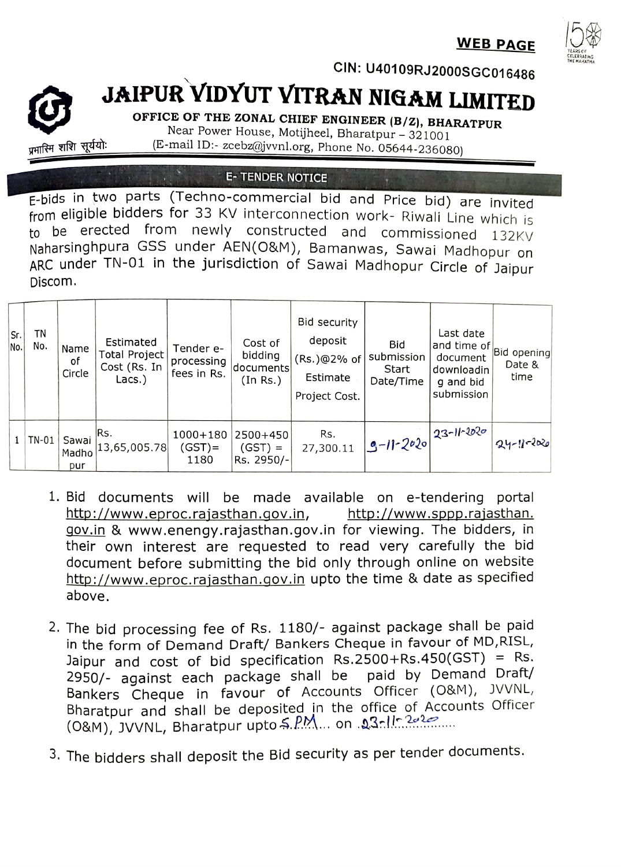**WEB PAGE** 



CIN: U40109RJ2000sGC016486

## JAIPUR VIDYUT VITRAN NIGAM LIMITED

OFFICE OF THE ZONAL CHIEF ENGINEER (B/Z), BHARATPUR Near Power House, Motijheel, Bharatpur - 321001 (E-mail ID:- zcebz@jvvnl.org, Phone No. 05644-236080)

**E- TENDER NOTICE** 

प्रभारिम शशि सूर्ययो:

E-bids in two parts (Techno-commercial bid and Price bid) are invited from eligible bidders for 33 KV interconnection work- Riwali Line which is to be erected from newly constructed and commissioned 132KV Naharsinghpura GSS under AENÇO&M), Bamanwas, Sawai Madhopur on ARC under TN-01 in the jurisdiction of Sawai Madhopur Circle of Jaipur Discom.

| Sr.<br>No. | ΤN<br>No. | Name<br>оf<br>Circle  | Estimated<br>Total Project<br>Cost (Rs. In<br>Lacs.) | Tender e-<br>processing<br>fees in Rs. | Cost of<br>bidding<br>documents<br>(In Rs.) | Bid security<br>deposit<br>(Rs.)@2% of<br>Estimate<br>Project Cost. | Bid<br>submission<br>Start<br>Date/Time | Last date<br>and time of<br>document<br>downloadin<br>g and bid<br>submission | Bid opening<br>Date &<br>time |
|------------|-----------|-----------------------|------------------------------------------------------|----------------------------------------|---------------------------------------------|---------------------------------------------------------------------|-----------------------------------------|-------------------------------------------------------------------------------|-------------------------------|
|            | TN-01     | Sawai<br>Madho<br>pur | IRs.<br> 13,65,005.78                                | $1000 + 180$<br>$(GST)$ =<br>1180      | 2500+450<br>$(GST) =$<br>Rs. 2950/-         | Rs.<br>27,300.11                                                    | $9-11-2020 23-11-2020 $                 |                                                                               | $ q_4 - 1  - 2020 $           |

- 1. Bid documents will be made available on e-tendering portal http://www.eproc.rajasthan.gov.in, gov.in & www.enengy.rajasthan.gov.in for viewing. The bidders, in their own interest are requested to read very carefully the bid document before submitting the bid only through online on website http://www.eproc.rajasthan.gov.in upto the time & date as specified http://www.sppp.rajasthan. above.
- 2. The bid processing fee of Rs. 1180/- against package shall be paid in the form of Demand Draft/ Bankers Cheque in favour of MD,RISL, Jaipur and cost of bid specification Rs.2500+Rs.450(GST) = Rs. 2950/- against each package shall be Bankers Cheque in favour of Accounts Officer (08M), JVVNL Bharatpur and shall be deposited in the office of Accounts Officer (O&M), JVVNL, Bharatpur upto S.PM... on 23-11-2-20 paid by Demand Draft/
- 3. The bidders shall deposit the Bid security as per tender documents.